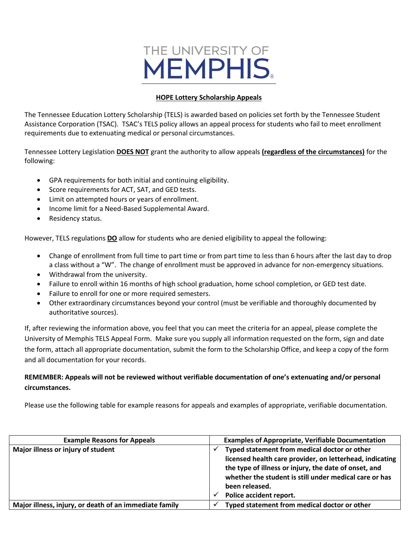# THE UNIVERSITY OF **MEMPHIS**

#### **HOPE Lottery Scholarship Appeals**

The Tennessee Education Lottery Scholarship (TELS) is awarded based on policies set forth by the Tennessee Student Assistance Corporation (TSAC). TSAC's TELS policy allows an appeal process for students who fail to meet enrollment requirements due to extenuating medical or personal circumstances.

Tennessee Lottery Legislation **DOES NOT** grant the authority to allow appeals **(regardless of the circumstances)** for the following:

- GPA requirements for both initial and continuing eligibility.
- Score requirements for ACT, SAT, and GED tests.
- Limit on attempted hours or years of enrollment.
- Income limit for a Need-Based Supplemental Award.
- Residency status.

However, TELS regulations **DO** allow for students who are denied eligibility to appeal the following:

- Change of enrollment from full time to part time or from part time to less than 6 hours after the last day to drop a class without a "W". The change of enrollment must be approved in advance for non-emergency situations.
- Withdrawal from the university.
- Failure to enroll within 16 months of high school graduation, home school completion, or GED test date.
- Failure to enroll for one or more required semesters.
- Other extraordinary circumstances beyond your control (must be verifiable and thoroughly documented by authoritative sources).

If, after reviewing the information above, you feel that you can meet the criteria for an appeal, please complete the University of Memphis TELS Appeal Form. Make sure you supply all information requested on the form, sign and date the form, attach all appropriate documentation, submit the form to the Scholarship Office, and keep a copy of the form and all documentation for your records.

#### **REMEMBER: Appeals will not be reviewed without verifiable documentation of one's extenuating and/or personal circumstances.**

Please use the following table for example reasons for appeals and examples of appropriate, verifiable documentation.

| <b>Example Reasons for Appeals</b>                     | <b>Examples of Appropriate, Verifiable Documentation</b>                                                                                                                                                                                                                 |
|--------------------------------------------------------|--------------------------------------------------------------------------------------------------------------------------------------------------------------------------------------------------------------------------------------------------------------------------|
| Major illness or injury of student                     | Typed statement from medical doctor or other<br>licensed health care provider, on letterhead, indicating<br>the type of illness or injury, the date of onset, and<br>whether the student is still under medical care or has<br>been released.<br>Police accident report. |
| Major illness, injury, or death of an immediate family | Typed statement from medical doctor or other                                                                                                                                                                                                                             |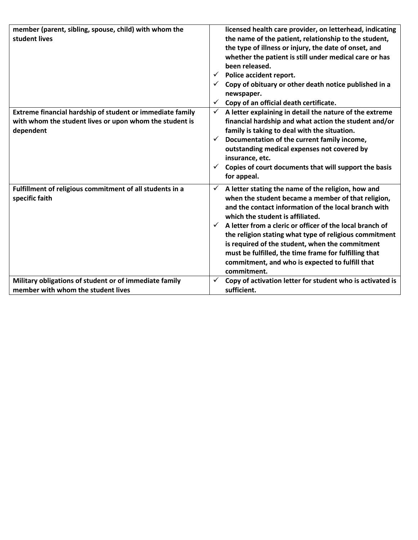| member (parent, sibling, spouse, child) with whom the<br>student lives                                                            | licensed health care provider, on letterhead, indicating<br>the name of the patient, relationship to the student,<br>the type of illness or injury, the date of onset, and<br>whether the patient is still under medical care or has<br>been released.<br>$\checkmark$ Police accident report.<br>Copy of obituary or other death notice published in a<br>newspaper.<br>Copy of an official death certificate.                                                                                                                       |
|-----------------------------------------------------------------------------------------------------------------------------------|---------------------------------------------------------------------------------------------------------------------------------------------------------------------------------------------------------------------------------------------------------------------------------------------------------------------------------------------------------------------------------------------------------------------------------------------------------------------------------------------------------------------------------------|
| Extreme financial hardship of student or immediate family<br>with whom the student lives or upon whom the student is<br>dependent | A letter explaining in detail the nature of the extreme<br>$\checkmark$<br>financial hardship and what action the student and/or<br>family is taking to deal with the situation.<br>Documentation of the current family income,<br>$\checkmark$<br>outstanding medical expenses not covered by<br>insurance, etc.<br>$\checkmark$ Copies of court documents that will support the basis<br>for appeal.                                                                                                                                |
| Fulfillment of religious commitment of all students in a<br>specific faith                                                        | A letter stating the name of the religion, how and<br>$\checkmark$<br>when the student became a member of that religion,<br>and the contact information of the local branch with<br>which the student is affiliated.<br>$\checkmark$ A letter from a cleric or officer of the local branch of<br>the religion stating what type of religious commitment<br>is required of the student, when the commitment<br>must be fulfilled, the time frame for fulfilling that<br>commitment, and who is expected to fulfill that<br>commitment. |
| Military obligations of student or of immediate family<br>member with whom the student lives                                      | Copy of activation letter for student who is activated is<br>✓<br>sufficient.                                                                                                                                                                                                                                                                                                                                                                                                                                                         |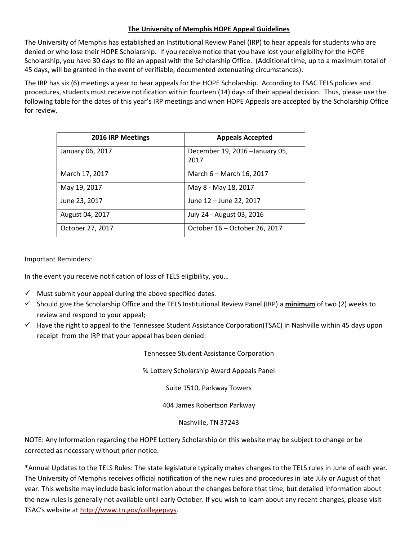#### **The University of Memphis HOPE Appeal Guidelines**

The University of Memphis has established an Institutional Review Panel (IRP) to hear appeals for students who are denied or who lose their HOPE Scholarship. If you receive notice that you have lost your eligibility for the HOPE Scholarship, you have 30 days to file an appeal with the Scholarship Office. (Additional time, up to a maximum total of 45 days, will be granted in the event of verifiable, documented extenuating circumstances).

The IRP has six (6) meetings a year to hear appeals for the HOPE Scholarship. According to TSAC TELS policies and procedures, students must receive notification within fourteen (14) days of their appeal decision. Thus, please use the following table for the dates of this year's IRP meetings and when HOPE Appeals are accepted by the Scholarship Office for review.

| <b>2016 IRP Meetings</b> | <b>Appeals Accepted</b>                 |
|--------------------------|-----------------------------------------|
| January 06, 2017         | December 19, 2016 - January 05,<br>2017 |
| March 17, 2017           | March 6 - March 16, 2017                |
| May 19, 2017             | May 8 - May 18, 2017                    |
| June 23, 2017            | June 12 - June 22, 2017                 |
| August 04, 2017          | July 24 - August 03, 2016               |
| October 27, 2017         | October 16 – October 26, 2017           |

Important Reminders:

In the event you receive notification of loss of TELS eligibility, you…

- $\checkmark$  Must submit your appeal during the above specified dates.
- $\checkmark$  Should give the Scholarship Office and the TELS Institutional Review Panel (IRP) a **minimum** of two (2) weeks to review and respond to your appeal;
- $\checkmark$  Have the right to appeal to the Tennessee Student Assistance Corporation(TSAC) in Nashville within 45 days upon receipt from the IRP that your appeal has been denied:

Tennessee Student Assistance Corporation

℅ Lottery Scholarship Award Appeals Panel

Suite 1510, Parkway Towers

404 James Robertson Parkway

Nashville, TN 37243

NOTE: Any Information regarding the HOPE Lottery Scholarship on this website may be subject to change or be corrected as necessary without prior notice.

\*Annual Updates to the TELS Rules: The state legislature typically makes changes to the TELS rules in June of each year. The University of Memphis receives official notification of the new rules and procedures in late July or August of that year. This website may include basic information about the changes before that time, but detailed information about the new rules is generally not available until early October. If you wish to learn about any recent changes, please visit TSAC's website at [http://www.tn.gov/collegepays.](http://www.tn.gov/collegepays)